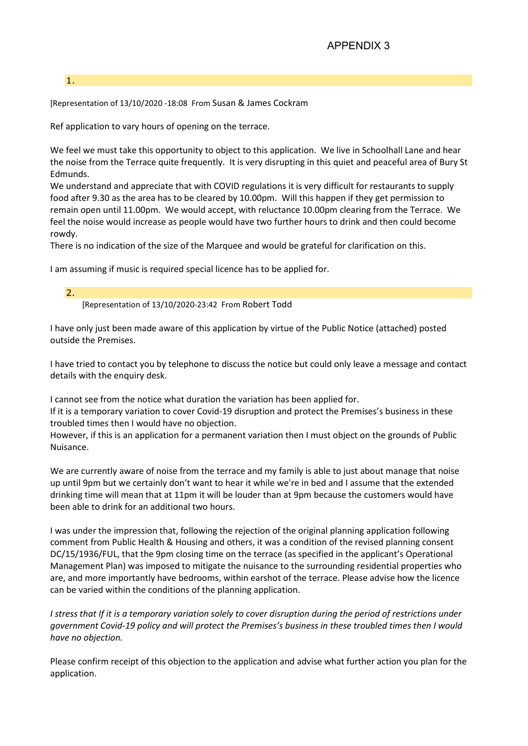## APPENDIX 3

## 1.

[Representation of 13/10/2020 -18:08 From Susan & James Cockram

Ref application to vary hours of opening on the terrace.

We feel we must take this opportunity to object to this application. We live in Schoolhall Lane and hear the noise from the Terrace quite frequently. It is very disrupting in this quiet and peaceful area of Bury St Edmunds.

We understand and appreciate that with COVID regulations it is very difficult for restaurants to supply food after 9.30 as the area has to be cleared by 10.00pm. Will this happen if they get permission to remain open until 11.00pm. We would accept, with reluctance 10.00pm clearing from the Terrace. We feel the noise would increase as people would have two further hours to drink and then could become rowdy.

There is no indication of the size of the Marquee and would be grateful for clarification on this.

I am assuming if music is required special licence has to be applied for.

2. [Representation of 13/10/2020-23:42 From Robert Todd

I have only just been made aware of this application by virtue of the Public Notice (attached) posted outside the Premises.

I have tried to contact you by telephone to discuss the notice but could only leave a message and contact details with the enquiry desk.

I cannot see from the notice what duration the variation has been applied for.

If it is a temporary variation to cover Covid-19 disruption and protect the Premises's business in these troubled times then I would have no objection.

However, if this is an application for a permanent variation then I must object on the grounds of Public Nuisance.

We are currently aware of noise from the terrace and my family is able to just about manage that noise up until 9pm but we certainly don't want to hear it while we're in bed and I assume that the extended drinking time will mean that at 11pm it will be louder than at 9pm because the customers would have been able to drink for an additional two hours.

I was under the impression that, following the rejection of the original planning application following comment from Public Health & Housing and others, it was a condition of the revised planning consent DC/15/1936/FUL, that the 9pm closing time on the terrace (as specified in the applicant's Operational Management Plan) was imposed to mitigate the nuisance to the surrounding residential properties who are, and more importantly have bedrooms, within earshot of the terrace. Please advise how the licence can be varied within the conditions of the planning application.

I stress that If it is a temporary variation solely to cover disruption during the period of restrictions under government Covid-19 policy and will protect the Premises's business in these troubled times then I would have no objection.

Please confirm receipt of this objection to the application and advise what further action you plan for the application.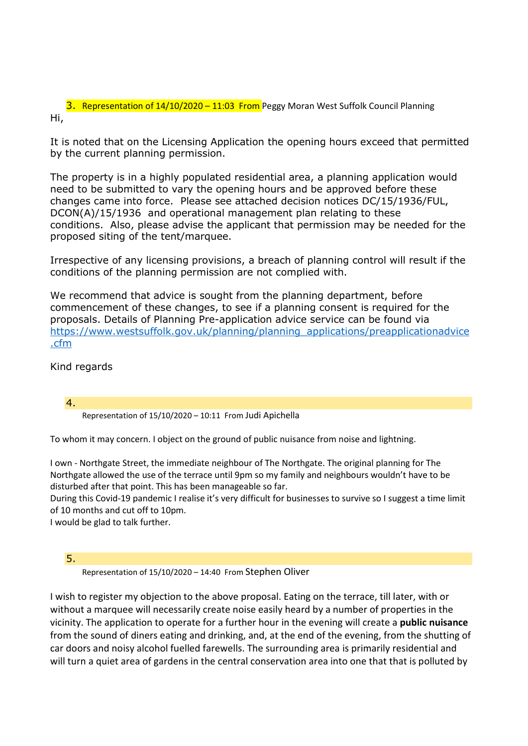3. Representation of 14/10/2020 – 11:03 From Peggy Moran West Suffolk Council Planning Hi,

It is noted that on the Licensing Application the opening hours exceed that permitted by the current planning permission.

The property is in a highly populated residential area, a planning application would need to be submitted to vary the opening hours and be approved before these changes came into force. Please see attached decision notices DC/15/1936/FUL, DCON(A)/15/1936 and operational management plan relating to these conditions. Also, please advise the applicant that permission may be needed for the proposed siting of the tent/marquee.

Irrespective of any licensing provisions, a breach of planning control will result if the conditions of the planning permission are not complied with.

We recommend that advice is sought from the planning department, before commencement of these changes, to see if a planning consent is required for the proposals. Details of Planning Pre-application advice service can be found via https://www.westsuffolk.gov.uk/planning/planning\_applications/preapplicationadvice .cfm

Kind regards

4. Representation of 15/10/2020 – 10:11 From Judi Apichella

To whom it may concern. I object on the ground of public nuisance from noise and lightning.

I own - Northgate Street, the immediate neighbour of The Northgate. The original planning for The Northgate allowed the use of the terrace until 9pm so my family and neighbours wouldn't have to be disturbed after that point. This has been manageable so far.

During this Covid-19 pandemic I realise it's very difficult for businesses to survive so I suggest a time limit of 10 months and cut off to 10pm.

I would be glad to talk further.

5.

Representation of 15/10/2020 – 14:40 From Stephen Oliver

I wish to register my objection to the above proposal. Eating on the terrace, till later, with or without a marquee will necessarily create noise easily heard by a number of properties in the vicinity. The application to operate for a further hour in the evening will create a public nuisance from the sound of diners eating and drinking, and, at the end of the evening, from the shutting of car doors and noisy alcohol fuelled farewells. The surrounding area is primarily residential and will turn a quiet area of gardens in the central conservation area into one that that is polluted by